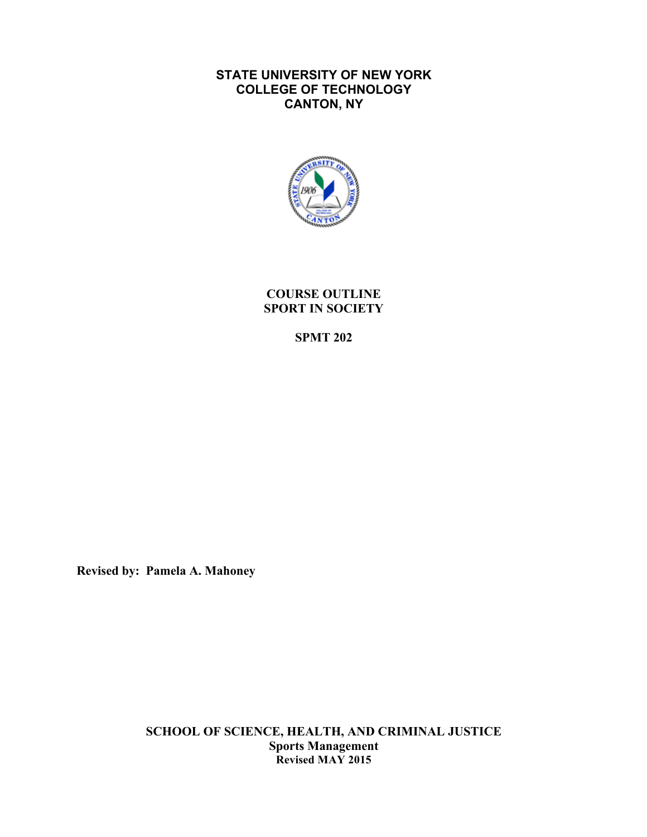# **STATE UNIVERSITY OF NEW YORK COLLEGE OF TECHNOLOGY CANTON, NY**



**COURSE OUTLINE SPORT IN SOCIETY** 

**SPMT 202** 

**Revised by: Pamela A. Mahoney** 

**SCHOOL OF SCIENCE, HEALTH, AND CRIMINAL JUSTICE Sports Management Revised MAY 2015**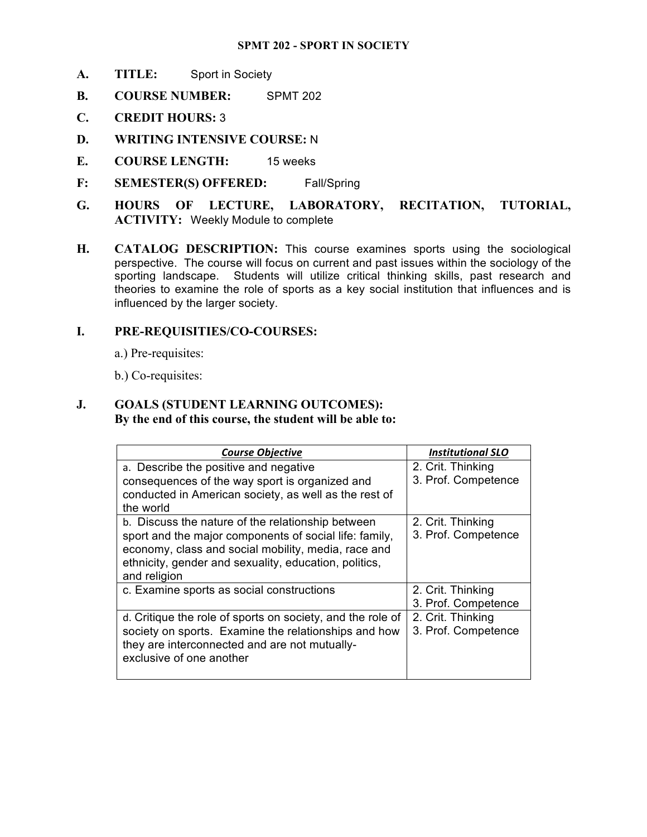#### **SPMT 202 - SPORT IN SOCIETY**

- **A. TITLE:** Sport in Society
- **B. COURSE NUMBER:** SPMT 202
- **C. CREDIT HOURS:** 3
- **D. WRITING INTENSIVE COURSE:** N
- **E. COURSE LENGTH:** 15 weeks
- **F: SEMESTER(S) OFFERED:** Fall/Spring
- **HOURS** OF LECTURE, **ACTIVITY:** Weekly Module to complete **G. HOURS OF LECTURE, LABORATORY, RECITATION, TUTORIAL,**
- **H. CATALOG DESCRIPTION:** This course examines sports using the sociological perspective. The course will focus on current and past issues within the sociology of the sporting landscape. Students will utilize critical thinking skills, past research and theories to examine the role of sports as a key social institution that influences and is influenced by the larger society.

#### **I. PRE-REQUISITIES/CO-COURSES:**

a.) Pre-requisites: b.) Co-requisites:

b.) Co-requisites:

#### **J. GOALS (STUDENT LEARNING OUTCOMES): By the end of this course, the student will be able to:**

| <b>Course Objective</b>                                    | <b>Institutional SLO</b> |
|------------------------------------------------------------|--------------------------|
| a. Describe the positive and negative                      | 2. Crit. Thinking        |
| consequences of the way sport is organized and             | 3. Prof. Competence      |
| conducted in American society, as well as the rest of      |                          |
| the world                                                  |                          |
| b. Discuss the nature of the relationship between          | 2. Crit. Thinking        |
| sport and the major components of social life: family,     | 3. Prof. Competence      |
| economy, class and social mobility, media, race and        |                          |
| ethnicity, gender and sexuality, education, politics,      |                          |
| and religion                                               |                          |
| c. Examine sports as social constructions                  | 2. Crit. Thinking        |
|                                                            | 3. Prof. Competence      |
| d. Critique the role of sports on society, and the role of | 2. Crit. Thinking        |
| society on sports. Examine the relationships and how       | 3. Prof. Competence      |
| they are interconnected and are not mutually-              |                          |
| exclusive of one another                                   |                          |
|                                                            |                          |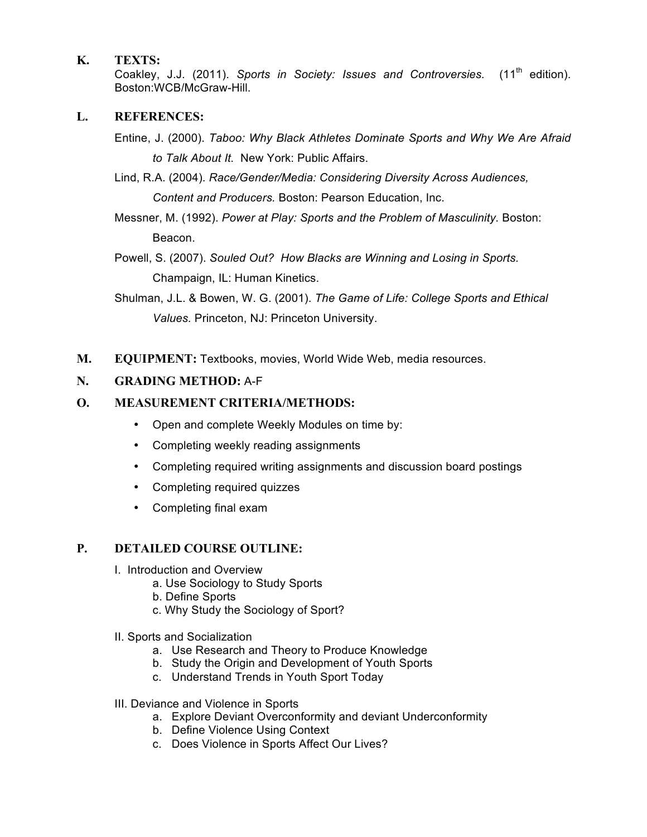# **K. TEXTS:**

Coakley, J.J. (2011). *Sports in Society: Issues and Controversies.* (11<sup>th</sup> edition). Boston:WCB/McGraw-Hill.

### **L. REFERENCES:**

- Entine, J. (2000). *Taboo: Why Black Athletes Dominate Sports and Why We Are Afraid to Talk About It.* New York: Public Affairs.
- Lind, R.A. (2004). *Race/Gender/Media: Considering Diversity Across Audiences, Content and Producers.* Boston: Pearson Education, Inc.
- Messner, M. (1992). *Power at Play: Sports and the Problem of Masculinity.* Boston: Beacon.
- Powell, S. (2007). *Souled Out? How Blacks are Winning and Losing in Sports.*  Champaign, IL: Human Kinetics.
- Shulman, J.L. & Bowen, W. G. (2001). *The Game of Life: College Sports and Ethical Values.* Princeton, NJ: Princeton University.
- **M. EQUIPMENT:** Textbooks, movies, World Wide Web, media resources.

# **N. GRADING METHOD:** A-F

# **O. MEASUREMENT CRITERIA/METHODS:**

- Open and complete Weekly Modules on time by:
- Completing weekly reading assignments
- Completing required writing assignments and discussion board postings
- Completing required quizzes
- Completing final exam

# **P. DETAILED COURSE OUTLINE:**

- I. Introduction and Overview
	- a. Use Sociology to Study Sports
	- b. Define Sports
	- c. Why Study the Sociology of Sport?
- II. Sports and Socialization
	- a. Use Research and Theory to Produce Knowledge
	- b. Study the Origin and Development of Youth Sports
	- c. Understand Trends in Youth Sport Today
- III. Deviance and Violence in Sports
	- a. Explore Deviant Overconformity and deviant Underconformity
	- b. Define Violence Using Context
	- c. Does Violence in Sports Affect Our Lives?